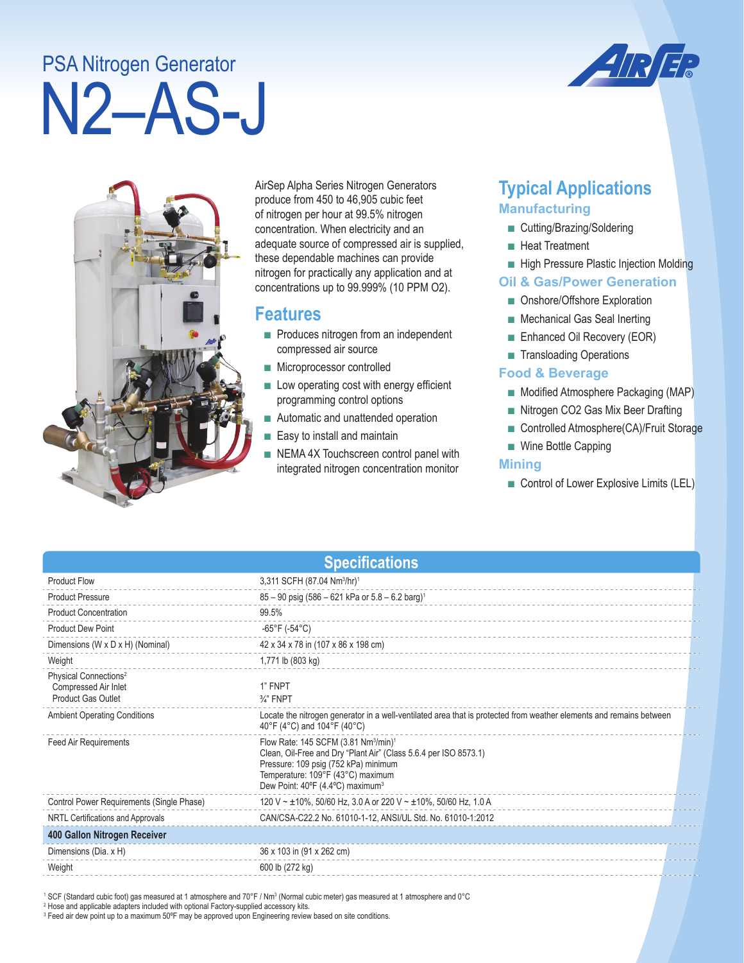# N2–AS-J PSA Nitrogen Generator





AirSep Alpha Series Nitrogen Generators produce from 450 to 46,905 cubic feet of nitrogen per hour at 99.5% nitrogen concentration. When electricity and an adequate source of compressed air is supplied, these dependable machines can provide nitrogen for practically any application and at concentrations up to 99.999% (10 PPM O2).

### **Features**

- Produces nitrogen from an independent compressed air source
- Microprocessor controlled
- Low operating cost with energy efficient programming control options
- Automatic and unattended operation
- Easy to install and maintain
- NEMA 4X Touchscreen control panel with integrated nitrogen concentration monitor

# **Typical Applications Manufacturing**

- Cutting/Brazing/Soldering
- Heat Treatment
- High Pressure Plastic Injection Molding

#### **Oil & Gas/Power Generation**

- Onshore/Offshore Exploration
- Mechanical Gas Seal Inerting
- Enhanced Oil Recovery (EOR)
- Transloading Operations

#### **Food & Beverage**

- Modified Atmosphere Packaging (MAP)
- Nitrogen CO2 Gas Mix Beer Drafting
- Controlled Atmosphere(CA)/Fruit Storage
- Wine Bottle Capping

#### **Mining**

■ Control of Lower Explosive Limits (LEL)

| <b>Specifications</b>                                                                  |                                                                                                                                                                                                                                                               |  |  |
|----------------------------------------------------------------------------------------|---------------------------------------------------------------------------------------------------------------------------------------------------------------------------------------------------------------------------------------------------------------|--|--|
| <b>Product Flow</b>                                                                    | 3,311 SCFH (87.04 Nm <sup>3</sup> /hr) <sup>1</sup>                                                                                                                                                                                                           |  |  |
| <b>Product Pressure</b>                                                                | 85 - 90 psig (586 - 621 kPa or 5.8 - 6.2 barg) <sup>1</sup>                                                                                                                                                                                                   |  |  |
| <b>Product Concentration</b>                                                           | 99.5%                                                                                                                                                                                                                                                         |  |  |
| <b>Product Dew Point</b>                                                               | $-65^{\circ}$ F (-54 $^{\circ}$ C)                                                                                                                                                                                                                            |  |  |
| Dimensions (W x D x H) (Nominal)                                                       | 42 x 34 x 78 in (107 x 86 x 198 cm)                                                                                                                                                                                                                           |  |  |
| Weight                                                                                 | 1,771 lb (803 kg)                                                                                                                                                                                                                                             |  |  |
| Physical Connections <sup>2</sup><br>Compressed Air Inlet<br><b>Product Gas Outlet</b> | 1" FNPT<br>$\frac{3}{4}$ " FNPT                                                                                                                                                                                                                               |  |  |
| <b>Ambient Operating Conditions</b>                                                    | Locate the nitrogen generator in a well-ventilated area that is protected from weather elements and remains between<br>40°F (4°C) and 104°F (40°C)                                                                                                            |  |  |
| <b>Feed Air Requirements</b>                                                           | Flow Rate: 145 SCFM (3.81 Nm <sup>3</sup> /min) <sup>1</sup><br>Clean, Oil-Free and Dry "Plant Air" (Class 5.6.4 per ISO 8573.1)<br>Pressure: 109 psig (752 kPa) minimum<br>Temperature: 109°F (43°C) maximum<br>Dew Point: 40°F (4.4°C) maximum <sup>3</sup> |  |  |
| Control Power Requirements (Single Phase)                                              | 120 V ~ ±10%, 50/60 Hz, 3.0 A or 220 V ~ ±10%, 50/60 Hz, 1.0 A                                                                                                                                                                                                |  |  |
| NRTL Certifications and Approvals                                                      | CAN/CSA-C22.2 No. 61010-1-12, ANSI/UL Std. No. 61010-1:2012                                                                                                                                                                                                   |  |  |
| 400 Gallon Nitrogen Receiver                                                           |                                                                                                                                                                                                                                                               |  |  |
| Dimensions (Dia. x H)                                                                  | 36 x 103 in (91 x 262 cm)                                                                                                                                                                                                                                     |  |  |
| Weight                                                                                 | 600 lb (272 kg)                                                                                                                                                                                                                                               |  |  |

' SCF (Standard cubic foot) gas measured at 1 atmosphere and 70°F / Nm3 (Normal cubic meter) gas measured at 1 atmosphere and 0°C<br><sup>2</sup> Hose and applicable adapters included with optional Factory-supplied accessory kits.

3 Feed air dew point up to a maximum 50ºF may be approved upon Engineering review based on site conditions.